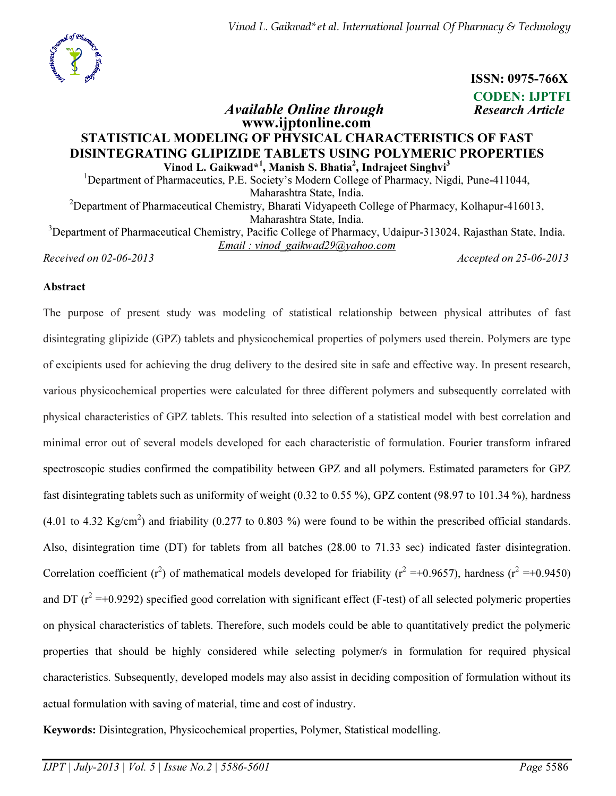

ISSN: 0975-766X

CODEN: IJPTFI Available Online through Research Article

## www.ijptonline.com STATISTICAL MODELING OF PHYSICAL CHARACTERISTICS OF FAST DISINTEGRATING GLIPIZIDE TABLETS USING POLYMERIC PROPERTIES Vinod L. Gaikwad\*<sup>1</sup>, Manish S. Bhatia<sup>2</sup>, Indrajeet Singhvi<sup>3</sup>

<sup>1</sup>Department of Pharmaceutics, P.E. Society's Modern College of Pharmacy, Nigdi, Pune-411044, Maharashtra State, India.

<sup>2</sup>Department of Pharmaceutical Chemistry, Bharati Vidyapeeth College of Pharmacy, Kolhapur-416013, Maharashtra State, India.

<sup>3</sup>Department of Pharmaceutical Chemistry, Pacific College of Pharmacy, Udaipur-313024, Rajasthan State, India. *Email : vinod\_gaikwad29@yahoo.com*

*Received on 02-06-2013 Accepted on 25-06-2013*

### Abstract

The purpose of present study was modeling of statistical relationship between physical attributes of fast disintegrating glipizide (GPZ) tablets and physicochemical properties of polymers used therein. Polymers are type of excipients used for achieving the drug delivery to the desired site in safe and effective way. In present research, various physicochemical properties were calculated for three different polymers and subsequently correlated with physical characteristics of GPZ tablets. This resulted into selection of a statistical model with best correlation and minimal error out of several models developed for each characteristic of formulation. Fourier transform infrared spectroscopic studies confirmed the compatibility between GPZ and all polymers. Estimated parameters for GPZ fast disintegrating tablets such as uniformity of weight (0.32 to 0.55 %), GPZ content (98.97 to 101.34 %), hardness (4.01 to 4.32 Kg/cm<sup>2</sup>) and friability (0.277 to 0.803 %) were found to be within the prescribed official standards. Also, disintegration time (DT) for tablets from all batches (28.00 to 71.33 sec) indicated faster disintegration. Correlation coefficient (r<sup>2</sup>) of mathematical models developed for friability (r<sup>2</sup> =+0.9657), hardness (r<sup>2</sup> =+0.9450) and DT  $(r^2 = +0.9292)$  specified good correlation with significant effect (F-test) of all selected polymeric properties on physical characteristics of tablets. Therefore, such models could be able to quantitatively predict the polymeric properties that should be highly considered while selecting polymer/s in formulation for required physical characteristics. Subsequently, developed models may also assist in deciding composition of formulation without its actual formulation with saving of material, time and cost of industry.

Keywords: Disintegration, Physicochemical properties, Polymer, Statistical modelling.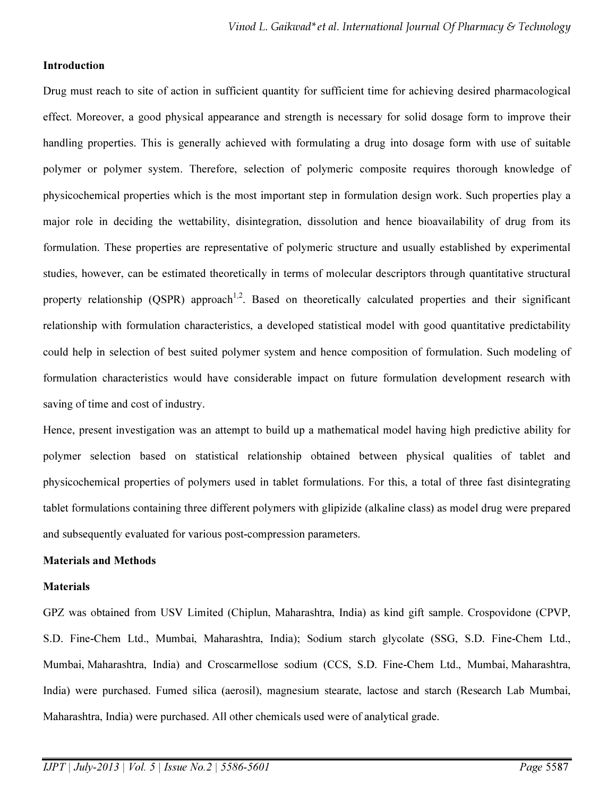### Introduction

Drug must reach to site of action in sufficient quantity for sufficient time for achieving desired pharmacological effect. Moreover, a good physical appearance and strength is necessary for solid dosage form to improve their handling properties. This is generally achieved with formulating a drug into dosage form with use of suitable polymer or polymer system. Therefore, selection of polymeric composite requires thorough knowledge of physicochemical properties which is the most important step in formulation design work. Such properties play a major role in deciding the wettability, disintegration, dissolution and hence bioavailability of drug from its formulation. These properties are representative of polymeric structure and usually established by experimental studies, however, can be estimated theoretically in terms of molecular descriptors through quantitative structural property relationship (OSPR) approach<sup>1,2</sup>. Based on theoretically calculated properties and their significant relationship with formulation characteristics, a developed statistical model with good quantitative predictability could help in selection of best suited polymer system and hence composition of formulation. Such modeling of formulation characteristics would have considerable impact on future formulation development research with saving of time and cost of industry.

Hence, present investigation was an attempt to build up a mathematical model having high predictive ability for polymer selection based on statistical relationship obtained between physical qualities of tablet and physicochemical properties of polymers used in tablet formulations. For this, a total of three fast disintegrating tablet formulations containing three different polymers with glipizide (alkaline class) as model drug were prepared and subsequently evaluated for various post-compression parameters.

### Materials and Methods

#### **Materials**

GPZ was obtained from USV Limited (Chiplun, Maharashtra, India) as kind gift sample. Crospovidone (CPVP, S.D. Fine-Chem Ltd., Mumbai, Maharashtra, India); Sodium starch glycolate (SSG, S.D. Fine-Chem Ltd., Mumbai, Maharashtra, India) and Croscarmellose sodium (CCS, S.D. Fine-Chem Ltd., Mumbai, Maharashtra, India) were purchased. Fumed silica (aerosil), magnesium stearate, lactose and starch (Research Lab Mumbai, Maharashtra, India) were purchased. All other chemicals used were of analytical grade.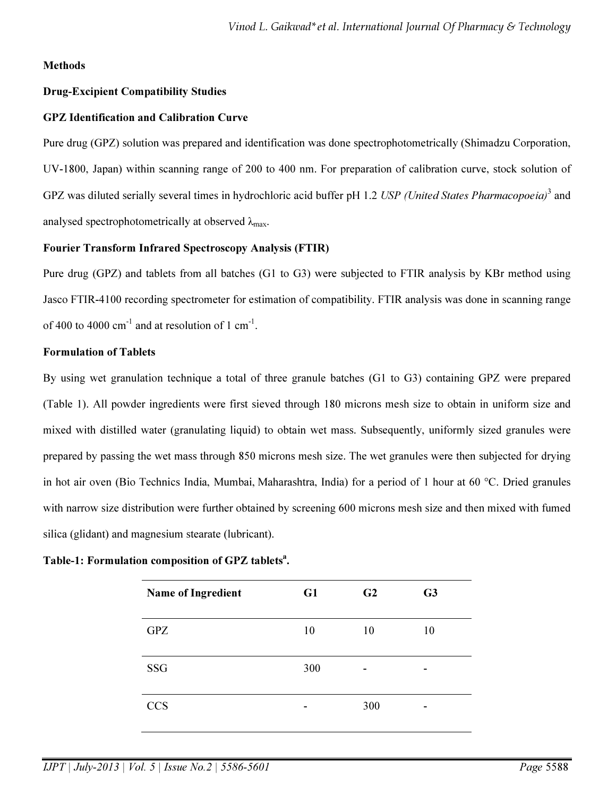### Methods

### Drug-Excipient Compatibility Studies

### GPZ Identification and Calibration Curve

Pure drug (GPZ) solution was prepared and identification was done spectrophotometrically (Shimadzu Corporation, UV-1800, Japan) within scanning range of 200 to 400 nm. For preparation of calibration curve, stock solution of GPZ was diluted serially several times in hydrochloric acid buffer pH 1.2 *USP (United States Pharmacopoeia)*<sup>3</sup> and analysed spectrophotometrically at observed  $\lambda_{\text{max}}$ .

### Fourier Transform Infrared Spectroscopy Analysis (FTIR)

Pure drug (GPZ) and tablets from all batches (G1 to G3) were subjected to FTIR analysis by KBr method using Jasco FTIR-4100 recording spectrometer for estimation of compatibility. FTIR analysis was done in scanning range of 400 to 4000  $cm^{-1}$  and at resolution of 1  $cm^{-1}$ .

### Formulation of Tablets

By using wet granulation technique a total of three granule batches (G1 to G3) containing GPZ were prepared (Table 1). All powder ingredients were first sieved through 180 microns mesh size to obtain in uniform size and mixed with distilled water (granulating liquid) to obtain wet mass. Subsequently, uniformly sized granules were prepared by passing the wet mass through 850 microns mesh size. The wet granules were then subjected for drying in hot air oven (Bio Technics India, Mumbai, Maharashtra, India) for a period of 1 hour at 60 °C. Dried granules with narrow size distribution were further obtained by screening 600 microns mesh size and then mixed with fumed silica (glidant) and magnesium stearate (lubricant).

# Table-1: Formulation composition of GPZ tablets<sup>a</sup>.

| Name of Ingredient | G1  | G2  | G3 |
|--------------------|-----|-----|----|
| <b>GPZ</b>         | 10  | 10  | 10 |
| <b>SSG</b>         | 300 | -   |    |
| <b>CCS</b>         |     | 300 |    |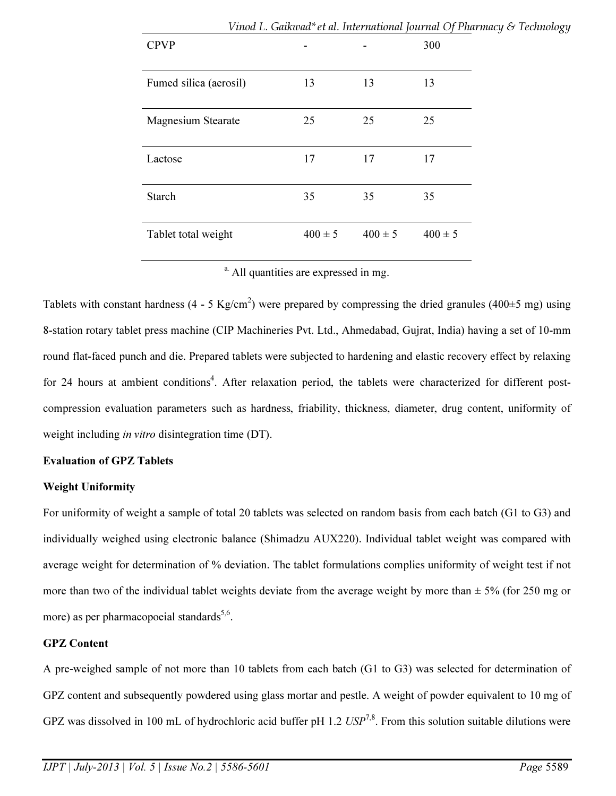|                        |    |                            | v тоа L. Gансова ее а. тестанона јоатна Ој глатна у 6-тест |  |
|------------------------|----|----------------------------|------------------------------------------------------------|--|
| <b>CPVP</b>            |    |                            | 300                                                        |  |
| Fumed silica (aerosil) | 13 | 13                         | 13                                                         |  |
| Magnesium Stearate     | 25 | 25                         | 25                                                         |  |
| Lactose                | 17 | 17                         | 17                                                         |  |
| Starch                 | 35 | 35                         | 35                                                         |  |
| Tablet total weight    |    | $400 \pm 5$<br>$400 \pm 5$ | $400 \pm 5$                                                |  |

# Vinod L. Gaikwad\*et al. International Journal Of Pharmacy & Technology

<sup>a.</sup> All quantities are expressed in mg.

Tablets with constant hardness (4 - 5 Kg/cm<sup>2</sup>) were prepared by compressing the dried granules (400 $\pm$ 5 mg) using 8-station rotary tablet press machine (CIP Machineries Pvt. Ltd., Ahmedabad, Gujrat, India) having a set of 10-mm round flat-faced punch and die. Prepared tablets were subjected to hardening and elastic recovery effect by relaxing for 24 hours at ambient conditions<sup>4</sup>. After relaxation period, the tablets were characterized for different postcompression evaluation parameters such as hardness, friability, thickness, diameter, drug content, uniformity of weight including *in vitro* disintegration time (DT).

### Evaluation of GPZ Tablets

### Weight Uniformity

For uniformity of weight a sample of total 20 tablets was selected on random basis from each batch (G1 to G3) and individually weighed using electronic balance (Shimadzu AUX220). Individual tablet weight was compared with average weight for determination of % deviation. The tablet formulations complies uniformity of weight test if not more than two of the individual tablet weights deviate from the average weight by more than  $\pm$  5% (for 250 mg or more) as per pharmacopoeial standards<sup>5,6</sup>.

## GPZ Content

A pre-weighed sample of not more than 10 tablets from each batch (G1 to G3) was selected for determination of GPZ content and subsequently powdered using glass mortar and pestle. A weight of powder equivalent to 10 mg of GPZ was dissolved in 100 mL of hydrochloric acid buffer pH 1.2 *USP*<sup>7,8</sup>. From this solution suitable dilutions were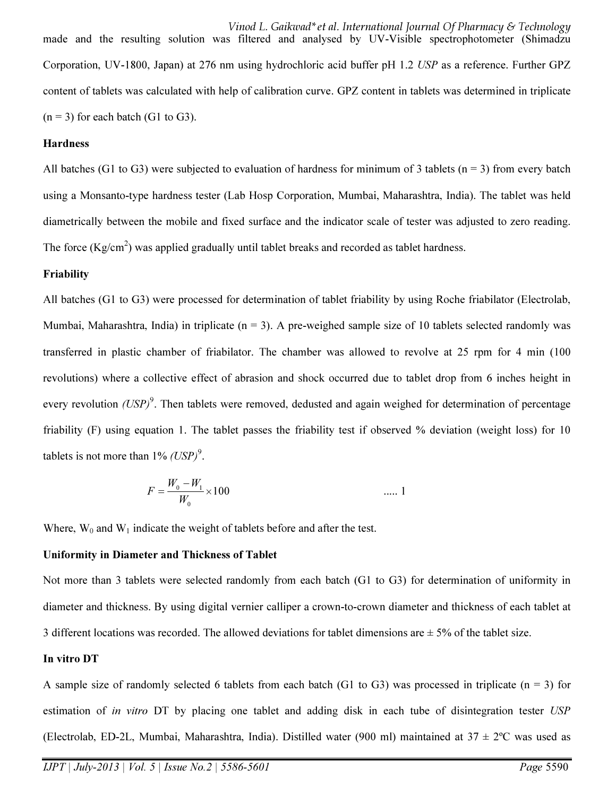Vinod L. Gaikwad\*et al. International Journal Of Pharmacy & Technology made and the resulting solution was filtered and analysed by UV-Visible spectrophotometer (Shimadzu Corporation, UV-1800, Japan) at 276 nm using hydrochloric acid buffer pH 1.2 *USP* as a reference. Further GPZ content of tablets was calculated with help of calibration curve. GPZ content in tablets was determined in triplicate  $(n = 3)$  for each batch (G1 to G3).

#### **Hardness**

All batches (G1 to G3) were subjected to evaluation of hardness for minimum of 3 tablets ( $n = 3$ ) from every batch using a Monsanto-type hardness tester (Lab Hosp Corporation, Mumbai, Maharashtra, India). The tablet was held diametrically between the mobile and fixed surface and the indicator scale of tester was adjusted to zero reading. The force  $(Kg/cm<sup>2</sup>)$  was applied gradually until tablet breaks and recorded as tablet hardness.

#### Friability

All batches (G1 to G3) were processed for determination of tablet friability by using Roche friabilator (Electrolab, Mumbai, Maharashtra, India) in triplicate ( $n = 3$ ). A pre-weighed sample size of 10 tablets selected randomly was transferred in plastic chamber of friabilator. The chamber was allowed to revolve at 25 rpm for 4 min (100 revolutions) where a collective effect of abrasion and shock occurred due to tablet drop from 6 inches height in every revolution *(USP)*<sup>9</sup>. Then tablets were removed, dedusted and again weighed for determination of percentage friability (F) using equation 1. The tablet passes the friability test if observed % deviation (weight loss) for 10 tablets is not more than  $1\%$  *(USP)*<sup>9</sup>.

$$
F = \frac{W_0 - W_1}{W_0} \times 100 \qquad \qquad \dots 1
$$

Where,  $W_0$  and  $W_1$  indicate the weight of tablets before and after the test.

#### Uniformity in Diameter and Thickness of Tablet

Not more than 3 tablets were selected randomly from each batch (G1 to G3) for determination of uniformity in diameter and thickness. By using digital vernier calliper a crown-to-crown diameter and thickness of each tablet at 3 different locations was recorded. The allowed deviations for tablet dimensions are  $\pm$  5% of the tablet size.

#### In vitro DT

A sample size of randomly selected 6 tablets from each batch (G1 to G3) was processed in triplicate ( $n = 3$ ) for estimation of *in vitro* DT by placing one tablet and adding disk in each tube of disintegration tester *USP*  (Electrolab, ED-2L, Mumbai, Maharashtra, India). Distilled water (900 ml) maintained at  $37 \pm 2$ °C was used as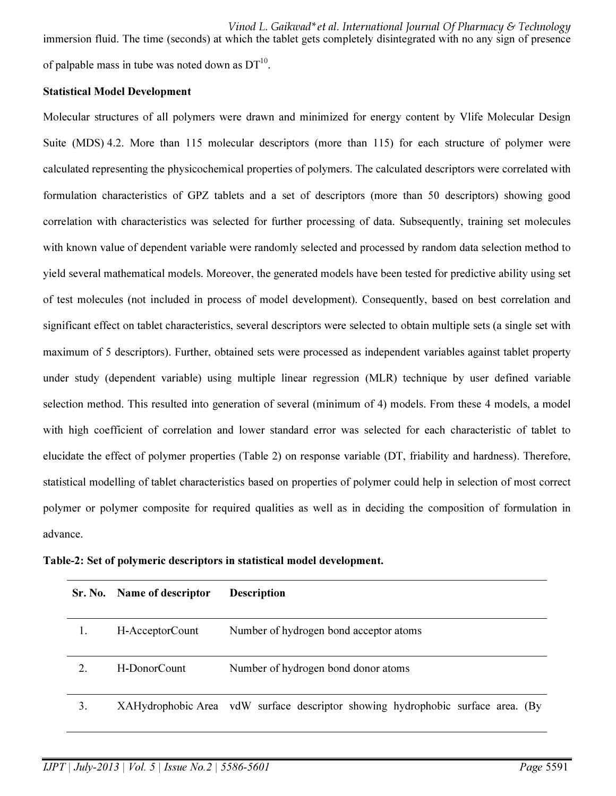Vinod L. Gaikwad\*et al. International Journal Of Pharmacy & Technology immersion fluid. The time (seconds) at which the tablet gets completely disintegrated with no any sign of presence of palpable mass in tube was noted down as  $DT^{10}$ .

#### Statistical Model Development

Molecular structures of all polymers were drawn and minimized for energy content by Vlife Molecular Design Suite (MDS) 4.2. More than 115 molecular descriptors (more than 115) for each structure of polymer were calculated representing the physicochemical properties of polymers. The calculated descriptors were correlated with formulation characteristics of GPZ tablets and a set of descriptors (more than 50 descriptors) showing good correlation with characteristics was selected for further processing of data. Subsequently, training set molecules with known value of dependent variable were randomly selected and processed by random data selection method to yield several mathematical models. Moreover, the generated models have been tested for predictive ability using set of test molecules (not included in process of model development). Consequently, based on best correlation and significant effect on tablet characteristics, several descriptors were selected to obtain multiple sets (a single set with maximum of 5 descriptors). Further, obtained sets were processed as independent variables against tablet property under study (dependent variable) using multiple linear regression (MLR) technique by user defined variable selection method. This resulted into generation of several (minimum of 4) models. From these 4 models, a model with high coefficient of correlation and lower standard error was selected for each characteristic of tablet to elucidate the effect of polymer properties (Table 2) on response variable (DT, friability and hardness). Therefore, statistical modelling of tablet characteristics based on properties of polymer could help in selection of most correct polymer or polymer composite for required qualities as well as in deciding the composition of formulation in advance.

|  |  |  |  | Table-2: Set of polymeric descriptors in statistical model development. |
|--|--|--|--|-------------------------------------------------------------------------|
|--|--|--|--|-------------------------------------------------------------------------|

| Sr. No. | Name of descriptor | <b>Description</b>                                                              |
|---------|--------------------|---------------------------------------------------------------------------------|
|         | H-AcceptorCount    | Number of hydrogen bond acceptor atoms                                          |
|         | H-DonorCount       | Number of hydrogen bond donor atoms                                             |
| 3.      |                    | XAHydrophobic Area vdW surface descriptor showing hydrophobic surface area. (By |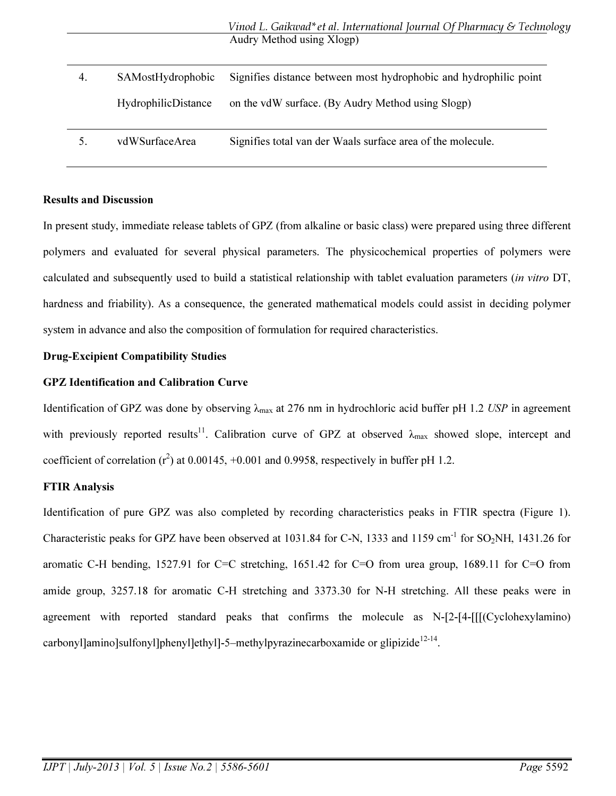| 4. | SAMostHydrophobic   | Signifies distance between most hydrophobic and hydrophilic point |
|----|---------------------|-------------------------------------------------------------------|
|    | HydrophilicDistance | on the vdW surface. (By Audry Method using Slogp)                 |
| 5. | vdWSurfaceArea      | Signifies total van der Waals surface area of the molecule.       |

### Results and Discussion

In present study, immediate release tablets of GPZ (from alkaline or basic class) were prepared using three different polymers and evaluated for several physical parameters. The physicochemical properties of polymers were calculated and subsequently used to build a statistical relationship with tablet evaluation parameters (*in vitro* DT, hardness and friability). As a consequence, the generated mathematical models could assist in deciding polymer system in advance and also the composition of formulation for required characteristics.

### Drug-Excipient Compatibility Studies

## GPZ Identification and Calibration Curve

Identification of GPZ was done by observing λ<sub>max</sub> at 276 nm in hydrochloric acid buffer pH 1.2 *USP* in agreement with previously reported results<sup>11</sup>. Calibration curve of GPZ at observed  $\lambda_{\text{max}}$  showed slope, intercept and coefficient of correlation  $(r^2)$  at 0.00145, +0.001 and 0.9958, respectively in buffer pH 1.2.

### FTIR Analysis

Identification of pure GPZ was also completed by recording characteristics peaks in FTIR spectra (Figure 1). Characteristic peaks for GPZ have been observed at 1031.84 for C-N, 1333 and 1159 cm<sup>-1</sup> for SO<sub>2</sub>NH, 1431.26 for aromatic C-H bending, 1527.91 for C=C stretching, 1651.42 for C=O from urea group, 1689.11 for C=O from amide group, 3257.18 for aromatic C-H stretching and 3373.30 for N-H stretching. All these peaks were in agreement with reported standard peaks that confirms the molecule as N-[2-[4-[[[(Cyclohexylamino) carbonyl]amino]sulfonyl]phenyl]ethyl]-5-methylpyrazinecarboxamide or glipizide $12-14$ .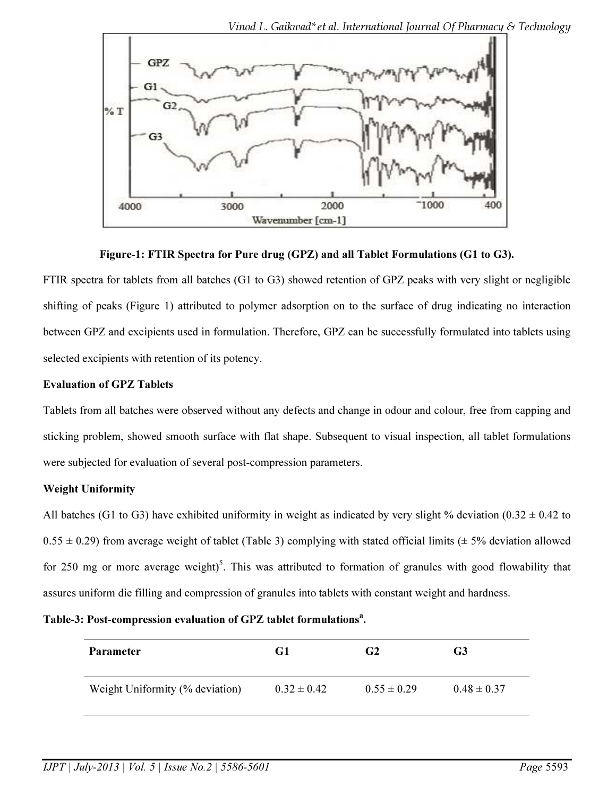

Figure-1: FTIR Spectra for Pure drug (GPZ) and all Tablet Formulations (G1 to G3).

FTIR spectra for tablets from all batches (G1 to G3) showed retention of GPZ peaks with very slight or negligible shifting of peaks (Figure 1) attributed to polymer adsorption on to the surface of drug indicating no interaction between GPZ and excipients used in formulation. Therefore, GPZ can be successfully formulated into tablets using selected excipients with retention of its potency.

## Evaluation of GPZ Tablets

Tablets from all batches were observed without any defects and change in odour and colour, free from capping and sticking problem, showed smooth surface with flat shape. Subsequent to visual inspection, all tablet formulations were subjected for evaluation of several post-compression parameters.

# Weight Uniformity

All batches (G1 to G3) have exhibited uniformity in weight as indicated by very slight % deviation (0.32  $\pm$  0.42 to  $0.55 \pm 0.29$ ) from average weight of tablet (Table 3) complying with stated official limits ( $\pm$  5% deviation allowed for 250 mg or more average weight)<sup>5</sup>. This was attributed to formation of granules with good flowability that assures uniform die filling and compression of granules into tablets with constant weight and hardness.

Table-3: Post-compression evaluation of GPZ tablet formulations<sup>a</sup>.

| <b>Parameter</b>                | G1              | G <sub>2</sub>  | G <sub>3</sub>  |
|---------------------------------|-----------------|-----------------|-----------------|
| Weight Uniformity (% deviation) | $0.32 \pm 0.42$ | $0.55 \pm 0.29$ | $0.48 \pm 0.37$ |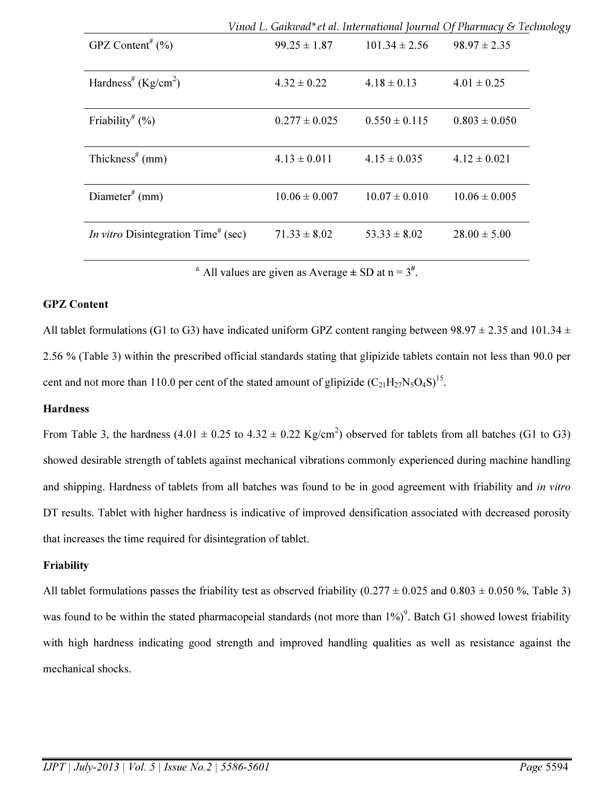|                                                        |                   |                   | Vinod L. Gaikwad* et al. International Journal Of Pharmacy & Technology |
|--------------------------------------------------------|-------------------|-------------------|-------------------------------------------------------------------------|
| GPZ Content <sup>#</sup> $(\% )$                       | $99.25 \pm 1.87$  | $101.34 \pm 2.56$ | $98.97 \pm 2.35$                                                        |
| Hardness <sup>#</sup> (Kg/cm <sup>2</sup> )            | $4.32 \pm 0.22$   | $4.18 \pm 0.13$   | $4.01 \pm 0.25$                                                         |
| Friability <sup>#</sup> $(\%)$                         | $0.277 \pm 0.025$ | $0.550 \pm 0.115$ | $0.803 \pm 0.050$                                                       |
| Thickness <sup>#</sup> (mm)                            | $4.13 \pm 0.011$  | $4.15 \pm 0.035$  | $4.12 \pm 0.021$                                                        |
| Diameter <sup>#</sup> (mm)                             | $10.06 \pm 0.007$ | $10.07 \pm 0.010$ | $10.06 \pm 0.005$                                                       |
| <i>In vitro</i> Disintegration Time <sup>#</sup> (sec) | $71.33 \pm 8.02$  | $53.33 \pm 8.02$  | $28.00 \pm 5.00$                                                        |

<sup>a.</sup> All values are given as Average  $\pm$  SD at n = 3<sup>#</sup>.

### GPZ Content

All tablet formulations (G1 to G3) have indicated uniform GPZ content ranging between  $98.97 \pm 2.35$  and  $101.34 \pm 101.34$ 2.56 % (Table 3) within the prescribed official standards stating that glipizide tablets contain not less than 90.0 per cent and not more than 110.0 per cent of the stated amount of glipizide  $(C_{21}H_{27}N_5O_4S)^{15}$ .

#### **Hardness**

From Table 3, the hardness  $(4.01 \pm 0.25 \text{ to } 4.32 \pm 0.22 \text{ Kg/cm}^2)$  observed for tablets from all batches (G1 to G3) showed desirable strength of tablets against mechanical vibrations commonly experienced during machine handling and shipping. Hardness of tablets from all batches was found to be in good agreement with friability and *in vitro* DT results. Tablet with higher hardness is indicative of improved densification associated with decreased porosity that increases the time required for disintegration of tablet.

#### Friability

All tablet formulations passes the friability test as observed friability  $(0.277 \pm 0.025$  and  $0.803 \pm 0.050$  %, Table 3) was found to be within the stated pharmacopeial standards (not more than  $1\%$ )<sup>9</sup>. Batch G1 showed lowest friability with high hardness indicating good strength and improved handling qualities as well as resistance against the mechanical shocks.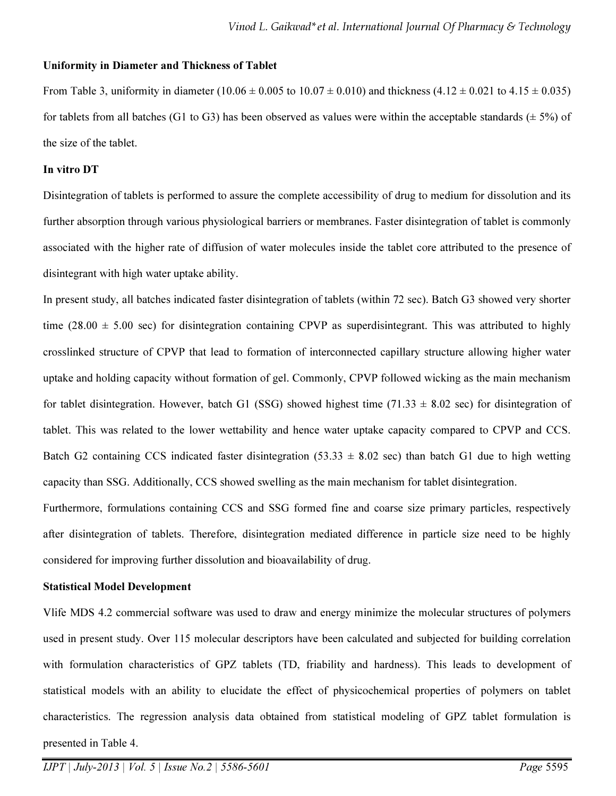#### Uniformity in Diameter and Thickness of Tablet

From Table 3, uniformity in diameter (10.06  $\pm$  0.005 to 10.07  $\pm$  0.010) and thickness (4.12  $\pm$  0.021 to 4.15  $\pm$  0.035) for tablets from all batches (G1 to G3) has been observed as values were within the acceptable standards ( $\pm$  5%) of the size of the tablet.

#### In vitro DT

Disintegration of tablets is performed to assure the complete accessibility of drug to medium for dissolution and its further absorption through various physiological barriers or membranes. Faster disintegration of tablet is commonly associated with the higher rate of diffusion of water molecules inside the tablet core attributed to the presence of disintegrant with high water uptake ability.

In present study, all batches indicated faster disintegration of tablets (within 72 sec). Batch G3 showed very shorter time (28.00  $\pm$  5.00 sec) for disintegration containing CPVP as superdisintegrant. This was attributed to highly crosslinked structure of CPVP that lead to formation of interconnected capillary structure allowing higher water uptake and holding capacity without formation of gel. Commonly, CPVP followed wicking as the main mechanism for tablet disintegration. However, batch G1 (SSG) showed highest time (71.33  $\pm$  8.02 sec) for disintegration of tablet. This was related to the lower wettability and hence water uptake capacity compared to CPVP and CCS. Batch G2 containing CCS indicated faster disintegration  $(53.33 \pm 8.02 \text{ sec})$  than batch G1 due to high wetting capacity than SSG. Additionally, CCS showed swelling as the main mechanism for tablet disintegration.

Furthermore, formulations containing CCS and SSG formed fine and coarse size primary particles, respectively after disintegration of tablets. Therefore, disintegration mediated difference in particle size need to be highly considered for improving further dissolution and bioavailability of drug.

#### Statistical Model Development

 presented in Table 4. Vlife MDS 4.2 commercial software was used to draw and energy minimize the molecular structures of polymers used in present study. Over 115 molecular descriptors have been calculated and subjected for building correlation with formulation characteristics of GPZ tablets (TD, friability and hardness). This leads to development of statistical models with an ability to elucidate the effect of physicochemical properties of polymers on tablet characteristics. The regression analysis data obtained from statistical modeling of GPZ tablet formulation is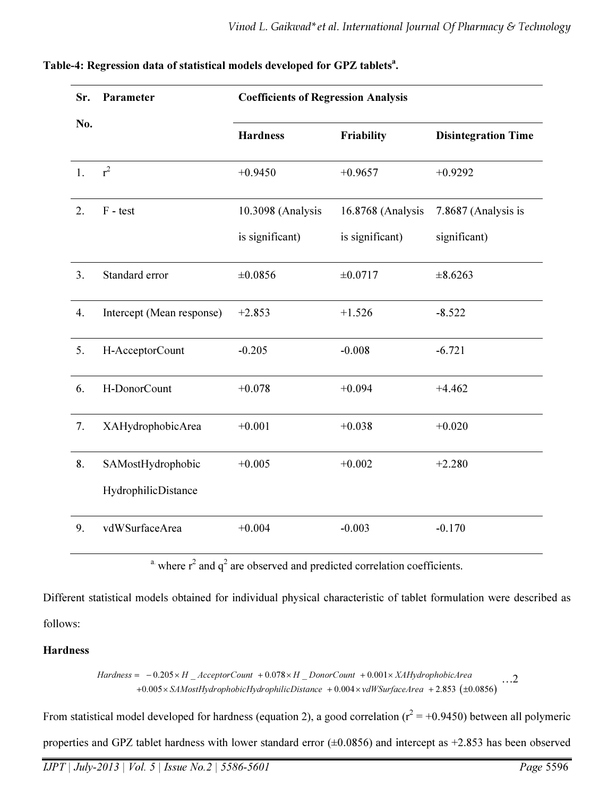| Sr. | Parameter                 | <b>Coefficients of Regression Analysis</b> |                   |                            |
|-----|---------------------------|--------------------------------------------|-------------------|----------------------------|
| No. |                           | <b>Hardness</b>                            | Friability        | <b>Disintegration Time</b> |
| 1.  | $r^2$                     | $+0.9450$                                  | $+0.9657$         | $+0.9292$                  |
| 2.  | $F - test$                | 10.3098 (Analysis                          | 16.8768 (Analysis | 7.8687 (Analysis is        |
|     |                           | is significant)                            | is significant)   | significant)               |
| 3.  | Standard error            | $\pm 0.0856$                               | ±0.0717           | $\pm 8.6263$               |
| 4.  | Intercept (Mean response) | $+2.853$                                   | $+1.526$          | $-8.522$                   |
| 5.  | H-AcceptorCount           | $-0.205$                                   | $-0.008$          | $-6.721$                   |
| 6.  | H-DonorCount              | $+0.078$                                   | $+0.094$          | $+4.462$                   |
| 7.  | XAHydrophobicArea         | $+0.001$                                   | $+0.038$          | $+0.020$                   |
| 8.  | SAMostHydrophobic         | $+0.005$                                   | $+0.002$          | $+2.280$                   |
|     | HydrophilicDistance       |                                            |                   |                            |
| 9.  | vdWSurfaceArea            | $+0.004$                                   | $-0.003$          | $-0.170$                   |

# Table-4: Regression data of statistical models developed for GPZ tablets<sup>a</sup>.

<sup>a</sup> where  $r^2$  and  $q^2$  are observed and predicted correlation coefficients.

Different statistical models obtained for individual physical characteristic of tablet formulation were described as follows:

### Hardness

 $+0.005 \times$  SAMostHydrophobicHydrophilicDistance  $+0.004 \times$ vdWSurfaceArea  $+2.853$  ( $\pm 0.0856$ )  $Hardness = -0.205 \times H_{A}^\dagger$  AcceptorCount +0.078 × H  $\_DonorCount + 0.001 \times XAHy drop hobicArea$ …2

From statistical model developed for hardness (equation 2), a good correlation ( $r^2 = +0.9450$ ) between all polymeric

properties and GPZ tablet hardness with lower standard error (±0.0856) and intercept as +2.853 has been observed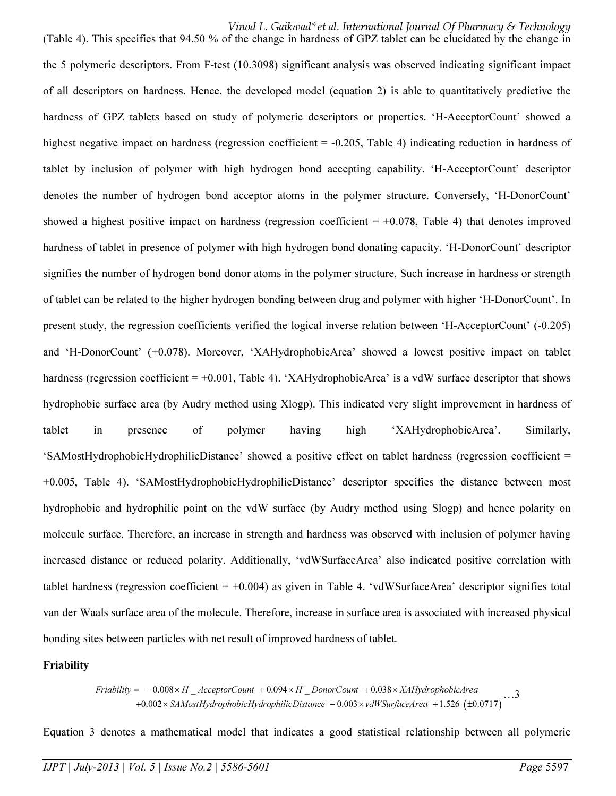Vinod L. Gaikwad\*et al. International Journal Of Pharmacy & Technology

(Table 4). This specifies that 94.50 % of the change in hardness of GPZ tablet can be elucidated by the change in the 5 polymeric descriptors. From F-test (10.3098) significant analysis was observed indicating significant impact of all descriptors on hardness. Hence, the developed model (equation 2) is able to quantitatively predictive the hardness of GPZ tablets based on study of polymeric descriptors or properties. 'H-AcceptorCount' showed a highest negative impact on hardness (regression coefficient = -0.205, Table 4) indicating reduction in hardness of tablet by inclusion of polymer with high hydrogen bond accepting capability. 'H-AcceptorCount' descriptor denotes the number of hydrogen bond acceptor atoms in the polymer structure. Conversely, 'H-DonorCount' showed a highest positive impact on hardness (regression coefficient  $= +0.078$ , Table 4) that denotes improved hardness of tablet in presence of polymer with high hydrogen bond donating capacity. 'H-DonorCount' descriptor signifies the number of hydrogen bond donor atoms in the polymer structure. Such increase in hardness or strength of tablet can be related to the higher hydrogen bonding between drug and polymer with higher 'H-DonorCount'. In present study, the regression coefficients verified the logical inverse relation between 'H-AcceptorCount' (-0.205) and 'H-DonorCount' (+0.078). Moreover, 'XAHydrophobicArea' showed a lowest positive impact on tablet hardness (regression coefficient = +0.001, Table 4). 'XAHydrophobicArea' is a vdW surface descriptor that shows hydrophobic surface area (by Audry method using Xlogp). This indicated very slight improvement in hardness of tablet in presence of polymer having high 'XAHydrophobicArea'. Similarly, 'SAMostHydrophobicHydrophilicDistance' showed a positive effect on tablet hardness (regression coefficient = +0.005, Table 4). 'SAMostHydrophobicHydrophilicDistance' descriptor specifies the distance between most hydrophobic and hydrophilic point on the vdW surface (by Audry method using Slogp) and hence polarity on molecule surface. Therefore, an increase in strength and hardness was observed with inclusion of polymer having increased distance or reduced polarity. Additionally, 'vdWSurfaceArea' also indicated positive correlation with tablet hardness (regression coefficient  $= +0.004$ ) as given in Table 4. 'vdWSurfaceArea' descriptor signifies total van der Waals surface area of the molecule. Therefore, increase in surface area is associated with increased physical bonding sites between particles with net result of improved hardness of tablet.

### Friability

=  $-0.008 \times H$   $_2$  AcceptorCount + 0.094  $\times H$   $_2$  DonorCount + 0.058  $\times$   $\lambda$ ArtyarophobicArea<br>+0.002  $\times$  SAMostHydrophobicHydrophilicDistance  $-0.003 \times \text{vdWSurfaceArea} + 1.526$  (±0.0717) Friability =  $-0.008 \times H$   $\overline{\phantom{a}}$  AcceptorCount  $+0.094 \times H$   $\overline{\phantom{a}}$  DonorCount  $+0.038 \times XAH$ ydrophobicArea

Equation 3 denotes a mathematical model that indicates a good statistical relationship between all polymeric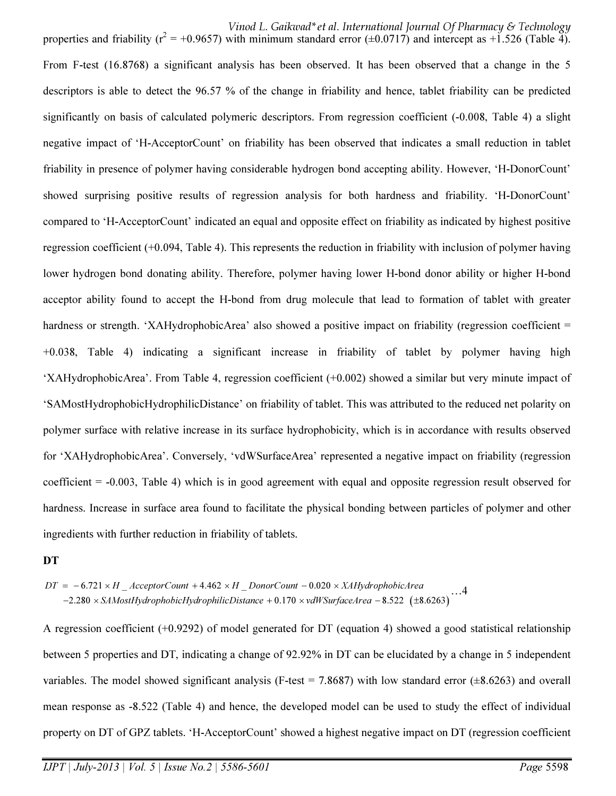Vinod L. Gaikwad\*et al. International Journal Of Pharmacy & Technology

properties and friability ( $r^2 = +0.9657$ ) with minimum standard error ( $\pm 0.0717$ ) and intercept as  $+\tilde{1}$ .526 (Table 4). From F-test (16.8768) a significant analysis has been observed. It has been observed that a change in the 5 descriptors is able to detect the 96.57 % of the change in friability and hence, tablet friability can be predicted significantly on basis of calculated polymeric descriptors. From regression coefficient (-0.008, Table 4) a slight negative impact of 'H-AcceptorCount' on friability has been observed that indicates a small reduction in tablet friability in presence of polymer having considerable hydrogen bond accepting ability. However, 'H-DonorCount' showed surprising positive results of regression analysis for both hardness and friability. 'H-DonorCount' compared to 'H-AcceptorCount' indicated an equal and opposite effect on friability as indicated by highest positive regression coefficient (+0.094, Table 4). This represents the reduction in friability with inclusion of polymer having lower hydrogen bond donating ability. Therefore, polymer having lower H-bond donor ability or higher H-bond acceptor ability found to accept the H-bond from drug molecule that lead to formation of tablet with greater hardness or strength. 'XAHydrophobicArea' also showed a positive impact on friability (regression coefficient = +0.038, Table 4) indicating a significant increase in friability of tablet by polymer having high 'XAHydrophobicArea'. From Table 4, regression coefficient (+0.002) showed a similar but very minute impact of 'SAMostHydrophobicHydrophilicDistance' on friability of tablet. This was attributed to the reduced net polarity on polymer surface with relative increase in its surface hydrophobicity, which is in accordance with results observed for 'XAHydrophobicArea'. Conversely, 'vdWSurfaceArea' represented a negative impact on friability (regression coefficient = -0.003, Table 4) which is in good agreement with equal and opposite regression result observed for hardness. Increase in surface area found to facilitate the physical bonding between particles of polymer and other ingredients with further reduction in friability of tablets.

#### **DT**

 $-2.280 \times SAMostHydrophobicHydrophilic Distance + 0.170 \times vdWSurfaceArea - 8.522 (±8.6263)$  $DT = -6.721 \times H_A$  = Acceptor Count +4.462  $\times H_D$  Donor Count -0.020  $\times$  XAHydrophobicArea …4

A regression coefficient (+0.9292) of model generated for DT (equation 4) showed a good statistical relationship between 5 properties and DT, indicating a change of 92.92% in DT can be elucidated by a change in 5 independent variables. The model showed significant analysis (F-test = 7.8687) with low standard error  $(\pm 8.6263)$  and overall mean response as -8.522 (Table 4) and hence, the developed model can be used to study the effect of individual property on DT of GPZ tablets. 'H-AcceptorCount' showed a highest negative impact on DT (regression coefficient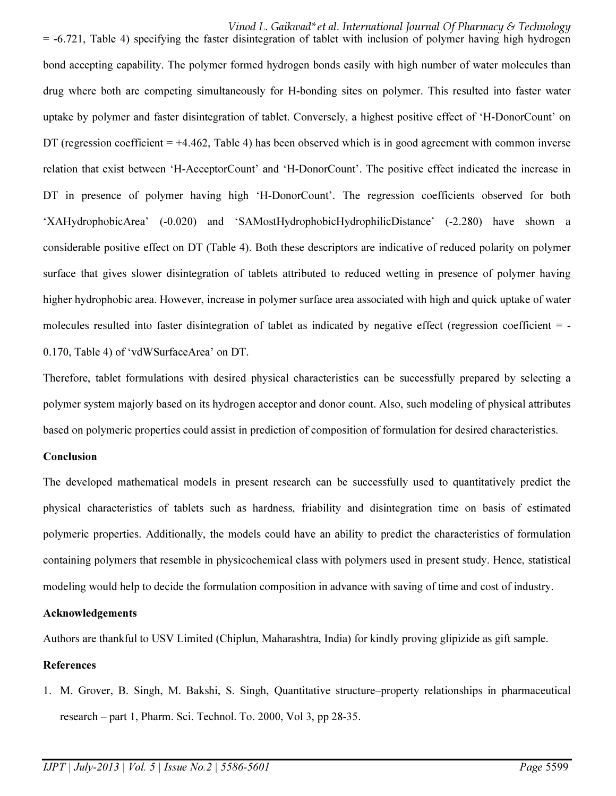Vinod L. Gaikwad\*et al. International Journal Of Pharmacy & Technology  $=$  -6.721, Table 4) specifying the faster disintegration of tablet with inclusion of polymer having high hydrogen bond accepting capability. The polymer formed hydrogen bonds easily with high number of water molecules than drug where both are competing simultaneously for H-bonding sites on polymer. This resulted into faster water uptake by polymer and faster disintegration of tablet. Conversely, a highest positive effect of 'H-DonorCount' on DT (regression coefficient = +4.462, Table 4) has been observed which is in good agreement with common inverse relation that exist between 'H-AcceptorCount' and 'H-DonorCount'. The positive effect indicated the increase in DT in presence of polymer having high 'H-DonorCount'. The regression coefficients observed for both 'XAHydrophobicArea' (-0.020) and 'SAMostHydrophobicHydrophilicDistance' (-2.280) have shown a considerable positive effect on DT (Table 4). Both these descriptors are indicative of reduced polarity on polymer surface that gives slower disintegration of tablets attributed to reduced wetting in presence of polymer having higher hydrophobic area. However, increase in polymer surface area associated with high and quick uptake of water molecules resulted into faster disintegration of tablet as indicated by negative effect (regression coefficient = -0.170, Table 4) of 'vdWSurfaceArea' on DT.

Therefore, tablet formulations with desired physical characteristics can be successfully prepared by selecting a polymer system majorly based on its hydrogen acceptor and donor count. Also, such modeling of physical attributes based on polymeric properties could assist in prediction of composition of formulation for desired characteristics.

#### Conclusion

The developed mathematical models in present research can be successfully used to quantitatively predict the physical characteristics of tablets such as hardness, friability and disintegration time on basis of estimated polymeric properties. Additionally, the models could have an ability to predict the characteristics of formulation containing polymers that resemble in physicochemical class with polymers used in present study. Hence, statistical modeling would help to decide the formulation composition in advance with saving of time and cost of industry.

### Acknowledgements

Authors are thankful to USV Limited (Chiplun, Maharashtra, India) for kindly proving glipizide as gift sample.

### References

1. M. Grover, B. Singh, M. Bakshi, S. Singh, Quantitative structure–property relationships in pharmaceutical research – part 1, Pharm. Sci. Technol. To. 2000, Vol 3, pp 28-35.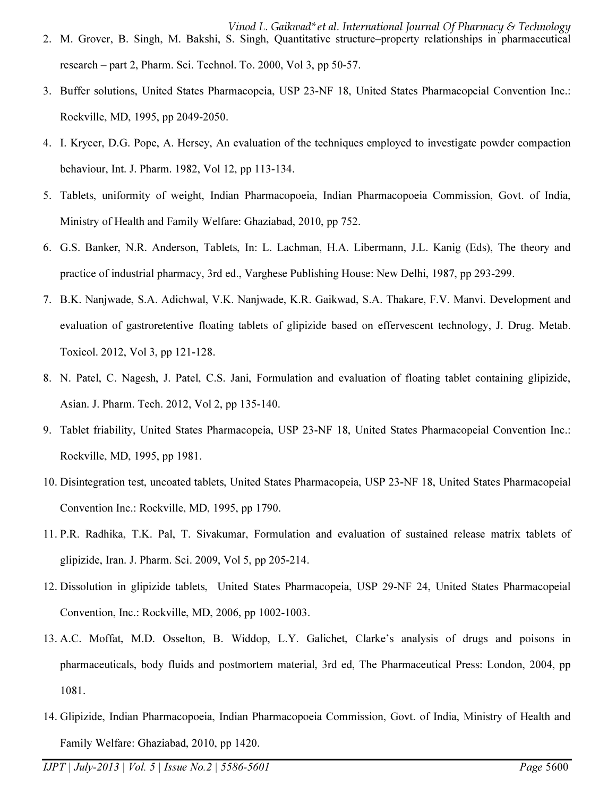- Vinod L. Gaikwad\*et al. International Journal Of Pharmacy & Technology 2. M. Grover, B. Singh, M. Bakshi, S. Singh, Quantitative structure–property relationships in pharmaceutical research – part 2, Pharm. Sci. Technol. To. 2000, Vol 3, pp 50-57.
- 3. Buffer solutions, United States Pharmacopeia, USP 23-NF 18, United States Pharmacopeial Convention Inc.: Rockville, MD, 1995, pp 2049-2050.
- 4. I. Krycer, D.G. Pope, A. Hersey, An evaluation of the techniques employed to investigate powder compaction behaviour, Int. J. Pharm. 1982, Vol 12, pp 113-134.
- 5. Tablets, uniformity of weight, Indian Pharmacopoeia, Indian Pharmacopoeia Commission, Govt. of India, Ministry of Health and Family Welfare: Ghaziabad, 2010, pp 752.
- 6. G.S. Banker, N.R. Anderson, Tablets, In: L. Lachman, H.A. Libermann, J.L. Kanig (Eds), The theory and practice of industrial pharmacy, 3rd ed., Varghese Publishing House: New Delhi, 1987, pp 293-299.
- 7. B.K. Nanjwade, S.A. Adichwal, V.K. Nanjwade, K.R. Gaikwad, S.A. Thakare, F.V. Manvi. Development and evaluation of gastroretentive floating tablets of glipizide based on effervescent technology, J. Drug. Metab. Toxicol. 2012, Vol 3, pp 121-128.
- 8. N. Patel, C. Nagesh, J. Patel, C.S. Jani, Formulation and evaluation of floating tablet containing glipizide, Asian. J. Pharm. Tech. 2012, Vol 2, pp 135-140.
- 9. Tablet friability, United States Pharmacopeia, USP 23-NF 18, United States Pharmacopeial Convention Inc.: Rockville, MD, 1995, pp 1981.
- 10. Disintegration test, uncoated tablets, United States Pharmacopeia, USP 23-NF 18, United States Pharmacopeial Convention Inc.: Rockville, MD, 1995, pp 1790.
- 11. P.R. Radhika, T.K. Pal, T. Sivakumar, Formulation and evaluation of sustained release matrix tablets of glipizide, Iran. J. Pharm. Sci. 2009, Vol 5, pp 205-214.
- 12. Dissolution in glipizide tablets, United States Pharmacopeia, USP 29-NF 24, United States Pharmacopeial Convention, Inc.: Rockville, MD, 2006, pp 1002-1003.
- 13. A.C. Moffat, M.D. Osselton, B. Widdop, L.Y. Galichet, Clarke's analysis of drugs and poisons in pharmaceuticals, body fluids and postmortem material, 3rd ed, The Pharmaceutical Press: London, 2004, pp 1081.
- 14. Glipizide, Indian Pharmacopoeia, Indian Pharmacopoeia Commission, Govt. of India, Ministry of Health and Family Welfare: Ghaziabad, 2010, pp 1420.